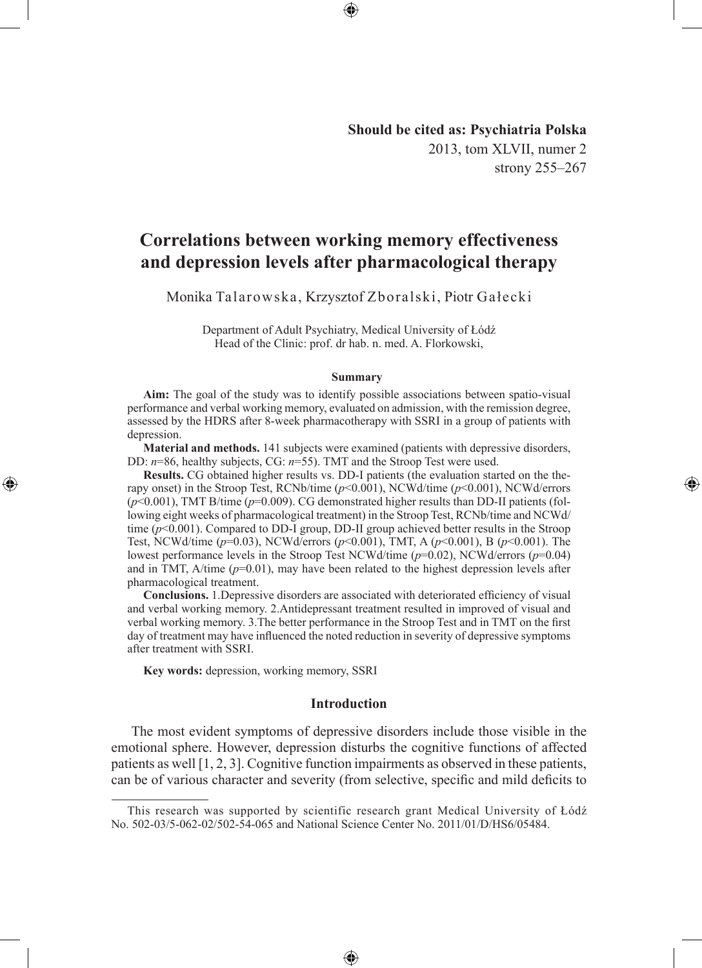**Should be cited as: Psychiatria Polska** 2013, tom XLVII, numer 2 strony 255–267

◈

# **Correlations between working memory effectiveness and depression levels after pharmacological therapy**

Monika Talarowska, Krzysztof Zboralski, Piotr Gałecki

Department of Adult Psychiatry, Medical University of Łódź Head of the Clinic: prof. dr hab. n. med. A. Florkowski,

#### **Summary**

**Aim:** The goal of the study was to identify possible associations between spatio-visual performance and verbal working memory, evaluated on admission, with the remission degree, assessed by the HDRS after 8-week pharmacotherapy with SSRI in a group of patients with depression.

**Material and methods.** 141 subjects were examined (patients with depressive disorders, DD:  $n=86$ , healthy subjects, CG:  $n=55$ ). TMT and the Stroop Test were used.

**Results.** CG obtained higher results vs. DD-I patients (the evaluation started on the therapy onset) in the Stroop Test, RCNb/time (*p*<0.001), NCWd/time (*p*<0.001), NCWd/errors (*p*<0.001), TMT B/time (*p*=0.009). CG demonstrated higher results than DD-II patients (following eight weeks of pharmacological treatment) in the Stroop Test, RCNb/time and NCWd/ time (*p*<0.001). Compared to DD-I group, DD-II group achieved better results in the Stroop Test, NCWd/time (*p*=0.03), NCWd/errors (*p*<0.001), TMT, A (*p*<0.001), B (*p*<0.001). The lowest performance levels in the Stroop Test NCWd/time (*p*=0.02), NCWd/errors (*p*=0.04) and in TMT,  $A$ /time  $(p=0.01)$ , may have been related to the highest depression levels after pharmacological treatment.

**Conclusions.** 1.Depressive disorders are associated with deteriorated efficiency of visual and verbal working memory. 2.Antidepressant treatment resulted in improved of visual and verbal working memory. 3.The better performance in the Stroop Test and in TMT on the first day of treatment may have influenced the noted reduction in severity of depressive symptoms after treatment with SSRI.

**Key words:** depression, working memory, SSRI

◈

# **Introduction**

The most evident symptoms of depressive disorders include those visible in the emotional sphere. However, depression disturbs the cognitive functions of affected patients as well [1, 2, 3]. Cognitive function impairments as observed in these patients, can be of various character and severity (from selective, specific and mild deficits to

♠

This research was supported by scientific research grant Medical University of Łódź No. 502-03/5-062-02/502-54-065 and National Science Center No. 2011/01/D/HS6/05484.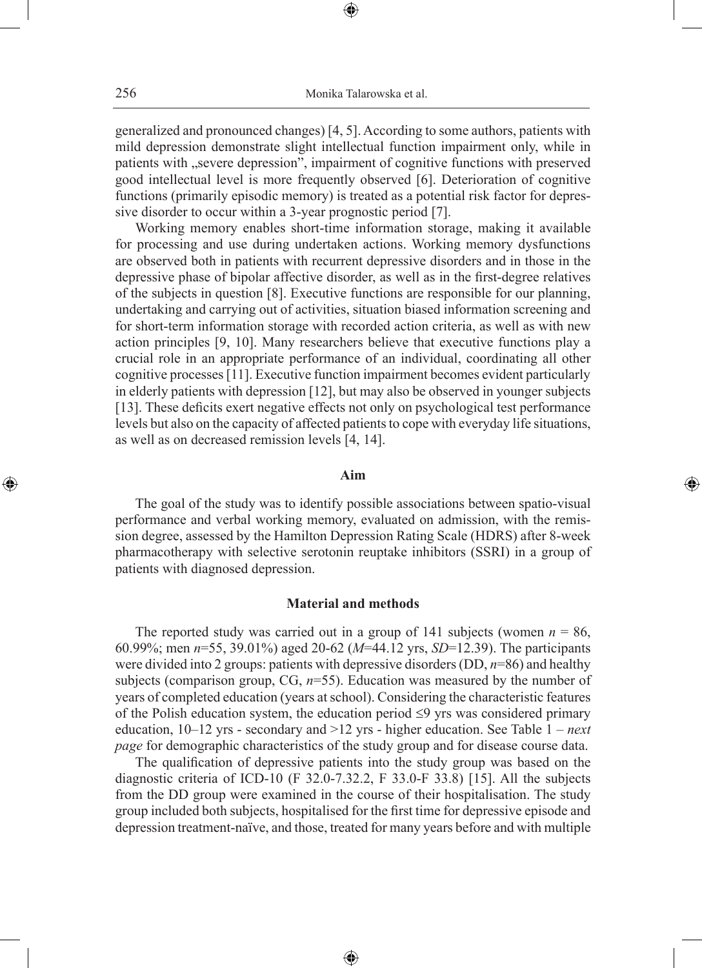generalized and pronounced changes) [4, 5]. According to some authors, patients with mild depression demonstrate slight intellectual function impairment only, while in patients with "severe depression", impairment of cognitive functions with preserved good intellectual level is more frequently observed [6]. Deterioration of cognitive functions (primarily episodic memory) is treated as a potential risk factor for depressive disorder to occur within a 3-year prognostic period [7].

Working memory enables short-time information storage, making it available for processing and use during undertaken actions. Working memory dysfunctions are observed both in patients with recurrent depressive disorders and in those in the depressive phase of bipolar affective disorder, as well as in the first-degree relatives of the subjects in question [8]. Executive functions are responsible for our planning, undertaking and carrying out of activities, situation biased information screening and for short-term information storage with recorded action criteria, as well as with new action principles [9, 10]. Many researchers believe that executive functions play a crucial role in an appropriate performance of an individual, coordinating all other cognitive processes [11]. Executive function impairment becomes evident particularly in elderly patients with depression [12], but may also be observed in younger subjects [13]. These deficits exert negative effects not only on psychological test performance levels but also on the capacity of affected patients to cope with everyday life situations, as well as on decreased remission levels [4, 14].

# **Aim**

◈

The goal of the study was to identify possible associations between spatio-visual performance and verbal working memory, evaluated on admission, with the remission degree, assessed by the Hamilton Depression Rating Scale (HDRS) after 8-week pharmacotherapy with selective serotonin reuptake inhibitors (SSRI) in a group of patients with diagnosed depression.

#### **Material and methods**

The reported study was carried out in a group of 141 subjects (women  $n = 86$ , 60.99%; men *n*=55, 39.01%) aged 20-62 (*M*=44.12 yrs, *SD*=12.39). The participants were divided into 2 groups: patients with depressive disorders (DD, *n*=86) and healthy subjects (comparison group, CG, *n*=55). Education was measured by the number of years of completed education (years at school). Considering the characteristic features of the Polish education system, the education period  $\leq$ 9 yrs was considered primary education, 10–12 yrs - secondary and >12 yrs - higher education. See Table 1 – *next page* for demographic characteristics of the study group and for disease course data.

The qualification of depressive patients into the study group was based on the diagnostic criteria of ICD-10 (F 32.0-7.32.2, F 33.0-F 33.8) [15]. All the subjects from the DD group were examined in the course of their hospitalisation. The study group included both subjects, hospitalised for the first time for depressive episode and depression treatment-naïve, and those, treated for many years before and with multiple

⊕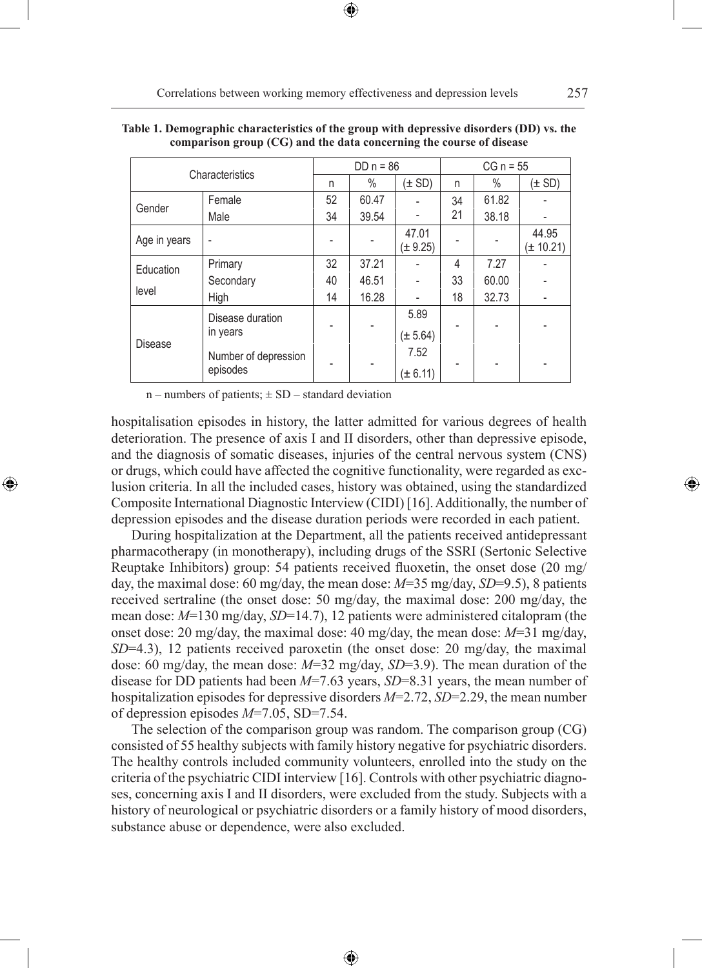| Characteristics |                                  | $DD n = 86$ |       | $CG n = 55$          |    |       |                        |
|-----------------|----------------------------------|-------------|-------|----------------------|----|-------|------------------------|
|                 |                                  | n           | $\%$  | (± SD)               | n  | $\%$  | (± SD)                 |
| Gender          | Female                           | 52          | 60.47 |                      | 34 | 61.82 |                        |
|                 | Male                             | 34          | 39.54 |                      | 21 | 38.18 |                        |
| Age in years    | ٠                                |             |       | 47.01<br>$\pm 9.25$  |    |       | 44.95<br>$(\pm 10.21)$ |
| Education       | Primary                          | 32          | 37.21 |                      | 4  | 7.27  |                        |
|                 | Secondary                        | 40          | 46.51 |                      | 33 | 60.00 |                        |
| level           | High                             | 14          | 16.28 |                      | 18 | 32.73 |                        |
| <b>Disease</b>  | Disease duration<br>in years     |             |       | 5.89<br>$(\pm 5.64)$ |    |       |                        |
|                 | Number of depression<br>episodes |             |       | 7.52<br>$(\pm 6.11)$ |    |       |                        |

| Table 1. Demographic characteristics of the group with depressive disorders (DD) vs. the |  |
|------------------------------------------------------------------------------------------|--|
| comparison group $(CG)$ and the data concerning the course of disease                    |  |

 $n$  – numbers of patients;  $\pm$  SD – standard deviation

◈

hospitalisation episodes in history, the latter admitted for various degrees of health deterioration. The presence of axis I and II disorders, other than depressive episode, and the diagnosis of somatic diseases, injuries of the central nervous system (CNS) or drugs, which could have affected the cognitive functionality, were regarded as exclusion criteria. In all the included cases, history was obtained, using the standardized Composite International Diagnostic Interview (CIDI) [16]. Additionally, the number of depression episodes and the disease duration periods were recorded in each patient.

During hospitalization at the Department, all the patients received antidepressant pharmacotherapy (in monotherapy), including drugs of the SSRI (Sertonic Selective Reuptake Inhibitors) group: 54 patients received fluoxetin, the onset dose (20 mg/ day, the maximal dose: 60 mg/day, the mean dose: *M*=35 mg/day, *SD*=9.5), 8 patients received sertraline (the onset dose: 50 mg/day, the maximal dose: 200 mg/day, the mean dose: *M*=130 mg/day, *SD*=14.7), 12 patients were administered citalopram (the onset dose: 20 mg/day, the maximal dose: 40 mg/day, the mean dose: *M*=31 mg/day, *SD*=4.3), 12 patients received paroxetin (the onset dose: 20 mg/day, the maximal dose: 60 mg/day, the mean dose: *M*=32 mg/day, *SD*=3.9). The mean duration of the disease for DD patients had been *M*=7.63 years, *SD*=8.31 years, the mean number of hospitalization episodes for depressive disorders *M*=2.72, *SD*=2.29, the mean number of depression episodes *M*=7.05, SD=7.54.

The selection of the comparison group was random. The comparison group (CG) consisted of 55 healthy subjects with family history negative for psychiatric disorders. The healthy controls included community volunteers, enrolled into the study on the criteria of the psychiatric CIDI interview [16]. Controls with other psychiatric diagnoses, concerning axis I and II disorders, were excluded from the study. Subjects with a history of neurological or psychiatric disorders or a family history of mood disorders, substance abuse or dependence, were also excluded.

⊕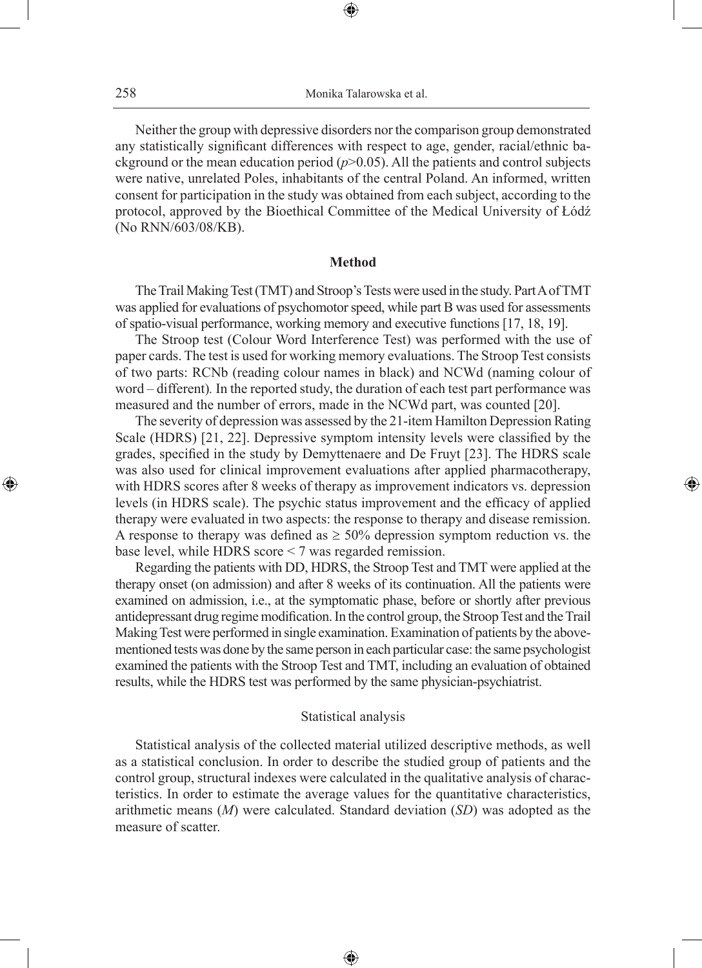Neither the group with depressive disorders nor the comparison group demonstrated any statistically significant differences with respect to age, gender, racial/ethnic background or the mean education period (*p*>0.05). All the patients and control subjects were native, unrelated Poles, inhabitants of the central Poland. An informed, written consent for participation in the study was obtained from each subject, according to the protocol, approved by the Bioethical Committee of the Medical University of Łódź (No RNN/603/08/KB).

#### **Method**

The Trail Making Test (TMT) and Stroop's Tests were used in the study. Part A of TMT was applied for evaluations of psychomotor speed, while part B was used for assessments of spatio-visual performance, working memory and executive functions [17, 18, 19].

The Stroop test (Colour Word Interference Test) was performed with the use of paper cards. The test is used for working memory evaluations. The Stroop Test consists of two parts: RCNb (reading colour names in black) and NCWd (naming colour of word – different)*.* In the reported study, the duration of each test part performance was measured and the number of errors, made in the NCWd part, was counted [20].

The severity of depression was assessed by the 21-item Hamilton Depression Rating Scale (HDRS) [21, 22]. Depressive symptom intensity levels were classified by the grades, specified in the study by Demyttenaere and De Fruyt [23]. The HDRS scale was also used for clinical improvement evaluations after applied pharmacotherapy, with HDRS scores after 8 weeks of therapy as improvement indicators vs. depression levels (in HDRS scale). The psychic status improvement and the efficacy of applied therapy were evaluated in two aspects: the response to therapy and disease remission. A response to therapy was defined as  $\geq 50\%$  depression symptom reduction vs. the base level, while HDRS score < 7 was regarded remission.

◈

Regarding the patients with DD, HDRS, the Stroop Test and TMT were applied at the therapy onset (on admission) and after 8 weeks of its continuation. All the patients were examined on admission, i.e., at the symptomatic phase, before or shortly after previous antidepressant drug regime modification. In the control group, the Stroop Test and the Trail Making Test were performed in single examination. Examination of patients by the abovementioned tests was done by the same person in each particular case: the same psychologist examined the patients with the Stroop Test and TMT, including an evaluation of obtained results, while the HDRS test was performed by the same physician-psychiatrist.

### Statistical analysis

Statistical analysis of the collected material utilized descriptive methods, as well as a statistical conclusion. In order to describe the studied group of patients and the control group, structural indexes were calculated in the qualitative analysis of characteristics. In order to estimate the average values for the quantitative characteristics, arithmetic means (*M*) were calculated. Standard deviation (*SD*) was adopted as the measure of scatter.

⊕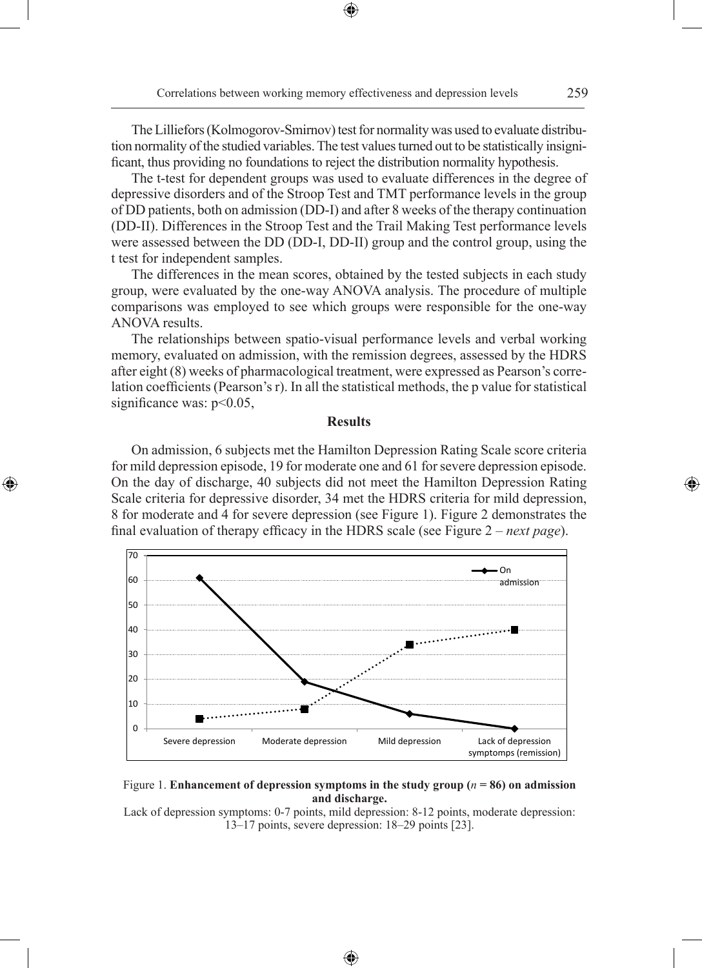Correlations between working memory effectiveness and depression levels 259

The Lilliefors (Kolmogorov-Smirnov) test for normality was used to evaluate distribution normality of the studied variables. The test values turned out to be statistically insignificant, thus providing no foundations to reject the distribution normality hypothesis.

⊕

The t-test for dependent groups was used to evaluate differences in the degree of depressive disorders and of the Stroop Test and TMT performance levels in the group of DD patients, both on admission (DD-I) and after 8 weeks of the therapy continuation (DD-II). Differences in the Stroop Test and the Trail Making Test performance levels were assessed between the DD (DD-I, DD-II) group and the control group, using the t test for independent samples.

The differences in the mean scores, obtained by the tested subjects in each study group, were evaluated by the one-way ANOVA analysis. The procedure of multiple comparisons was employed to see which groups were responsible for the one-way ANOVA results.

The relationships between spatio-visual performance levels and verbal working memory, evaluated on admission, with the remission degrees, assessed by the HDRS after eight (8) weeks of pharmacological treatment, were expressed as Pearson's correlation coefficients (Pearson's r). In all the statistical methods, the p value for statistical significance was:  $p<0.05$ ,

#### **Results**

On admission, 6 subjects met the Hamilton Depression Rating Scale score criteria for mild depression episode, 19 for moderate one and 61 for severe depression episode. On the day of discharge, 40 subjects did not meet the Hamilton Depression Rating Scale criteria for depressive disorder, 34 met the HDRS criteria for mild depression, 8 for moderate and 4 for severe depression (see Figure 1). Figure 2 demonstrates the final evaluation of therapy efficacy in the HDRS scale (see Figure 2 – *next page*).

◈





Lack of depression symptoms: 0-7 points, mild depression: 8-12 points, moderate depression: 13–17 points, severe depression: 18–29 points [23].

⊕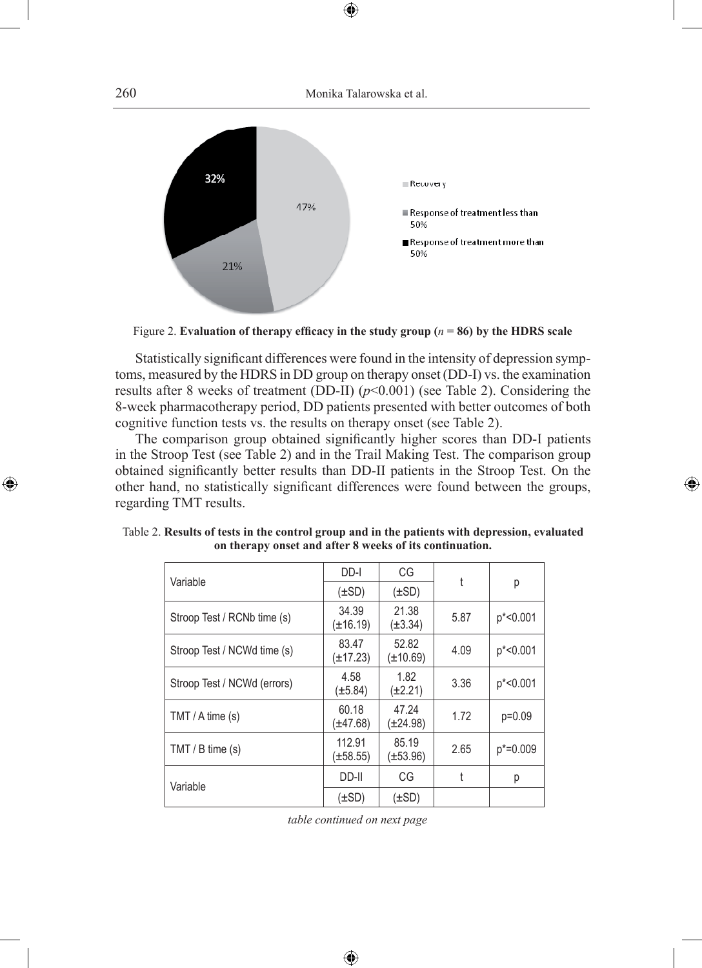

Figure 2. **Evaluation of therapy efficacy in the study group (***n* **= 86) by the HDRS scale**

Statistically significant differences were found in the intensity of depression symptoms, measured by the HDRS in DD group on therapy onset (DD-I) vs. the examination results after 8 weeks of treatment (DD-II)  $(p<0.001)$  (see Table 2). Considering the 8-week pharmacotherapy period, DD patients presented with better outcomes of both cognitive function tests vs. the results on therapy onset (see Table 2).

The comparison group obtained significantly higher scores than DD-I patients in the Stroop Test (see Table 2) and in the Trail Making Test. The comparison group obtained significantly better results than DD-II patients in the Stroop Test. On the other hand, no statistically significant differences were found between the groups, regarding TMT results.

◈

◈

| Variable                    | DD-I                    | CG                     | t    |              |  |
|-----------------------------|-------------------------|------------------------|------|--------------|--|
|                             | (±SD)                   | $(\pm SD)$             |      | р            |  |
| Stroop Test / RCNb time (s) | 34.39<br>(±16.19)       | 21.38<br>(±3.34)       | 5.87 | p*<0.001     |  |
| Stroop Test / NCWd time (s) | 83.47<br>(±17.23)       | 52.82<br>$(\pm 10.69)$ | 4.09 | p*<0.001     |  |
| Stroop Test / NCWd (errors) | 4.58<br>$(\pm 5.84)$    | 1.82<br>(±2.21)        | 3.36 | p*<0.001     |  |
| $TMT / A$ time $(s)$        | 60.18<br>(±47.68)       | 47.24<br>$(\pm 24.98)$ | 1.72 | $p=0.09$     |  |
| $TMT / B$ time (s)          | 112.91<br>$(\pm 58.55)$ | 85.19<br>$(\pm 53.96)$ | 2.65 | $p* = 0.009$ |  |
| Variable                    | DD-II                   | CG                     | t    | р            |  |
|                             | (±SD)                   | (±SD)                  |      |              |  |

Table 2. **Results of tests in the control group and in the patients with depression, evaluated on therapy onset and after 8 weeks of its continuation.**

*table continued on next page*

⊕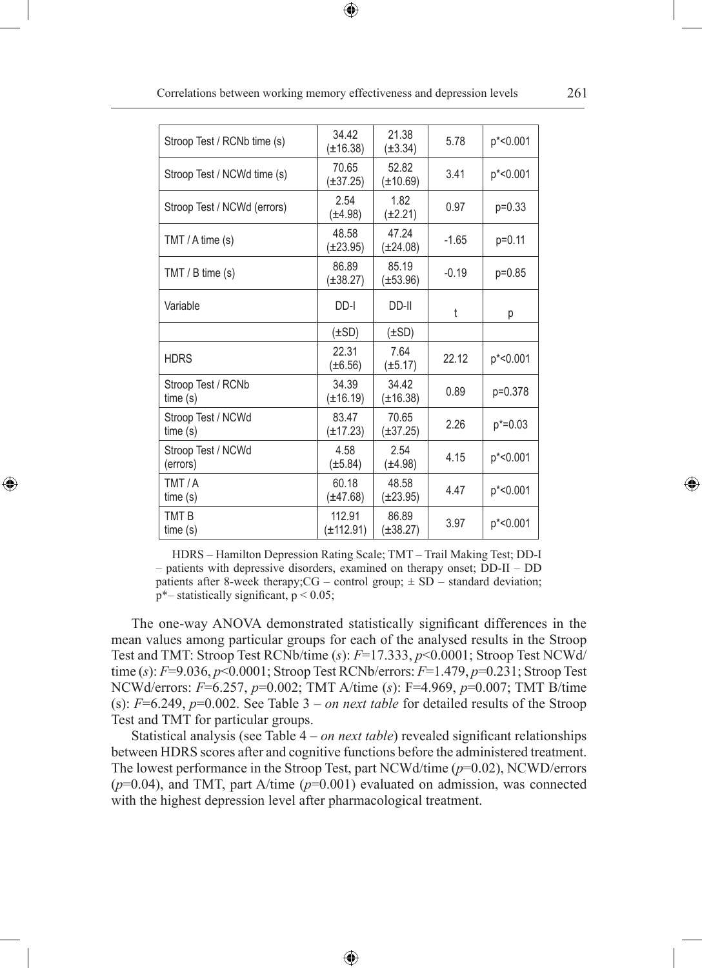| Stroop Test / RCNb time (s)    | 34.42<br>$(\pm 16.38)$ | 21.38<br>$(\pm 3.34)$  | 5.78    | p*<0.001    |
|--------------------------------|------------------------|------------------------|---------|-------------|
| Stroop Test / NCWd time (s)    | 70.65<br>$(\pm 37.25)$ | 52.82<br>$(\pm 10.69)$ | 3.41    | p*<0.001    |
| Stroop Test / NCWd (errors)    | 2.54<br>$(\pm 4.98)$   | 1.82<br>$(\pm 2.21)$   | 0.97    | $p=0.33$    |
| TMT / $A$ time $(s)$           | 48.58<br>$(\pm 23.95)$ | 47.24<br>$(\pm 24.08)$ | $-1.65$ | $p=0.11$    |
| TMT / B time (s)               | 86.89<br>$(\pm 38.27)$ | 85.19<br>$(\pm 53.96)$ | $-0.19$ | p=0.85      |
| Variable                       | DD-I                   | DD-II                  | t       | р           |
|                                | $(\pm SD)$             | $(\pm SD)$             |         |             |
| <b>HDRS</b>                    | 22.31<br>$(\pm 6.56)$  | 7.64<br>$(\pm 5.17)$   | 22.12   | p*<0.001    |
| Stroop Test / RCNb<br>time(s)  | 34.39<br>$(\pm 16.19)$ | 34.42<br>$(\pm 16.38)$ | 0.89    | p=0.378     |
| Stroop Test / NCWd<br>time(s)  | 83.47<br>$(\pm 17.23)$ | 70.65<br>$(\pm 37.25)$ | 2.26    | $p* = 0.03$ |
| Stroop Test / NCWd<br>(errors) | 4.58<br>$(\pm 5.84)$   | 2.54<br>$(\pm 4.98)$   | 4.15    | p*<0.001    |
| TMT/A<br>time(s)               | 60.18<br>$(\pm 47.68)$ | 48.58<br>$(\pm 23.95)$ | 4.47    | p*<0.001    |
| TMT <sub>B</sub><br>time(s)    | 112.91<br>(±112.91)    | 86.89<br>(±38.27)      | 3.97    | p*<0.001    |

Correlations between working memory effectiveness and depression levels 261

⊕

HDRS – Hamilton Depression Rating Scale; TMT – Trail Making Test; DD-I – patients with depressive disorders, examined on therapy onset; DD-II – DD patients after 8-week therapy; $CG - control group$ ;  $\pm SD - standard deviation$ ;  $p^*$ – statistically significant,  $p < 0.05$ ;

◈

The one-way ANOVA demonstrated statistically significant differences in the mean values among particular groups for each of the analysed results in the Stroop Test and TMT: Stroop Test RCNb/time (*s*): *F*=17.333, *p*<0.0001; Stroop Test NCWd/ time (*s*): *F*=9.036, *p*<0.0001; Stroop Test RCNb/errors: *F*=1.479, *p*=0.231; Stroop Test NCWd/errors: *F*=6.257, *p*=0.002; TMT A/time (*s*): F=4.969, *p*=0.007; TMT B/time (s): *F*=6.249, *p*=0.002. See Table 3 – *on next table* for detailed results of the Stroop Test and TMT for particular groups.

Statistical analysis (see Table 4 – *on next table*) revealed significant relationships between HDRS scores after and cognitive functions before the administered treatment. The lowest performance in the Stroop Test, part NCWd/time (*p*=0.02), NCWD/errors (*p*=0.04), and TMT, part A/time (*p*=0.001) evaluated on admission, was connected with the highest depression level after pharmacological treatment.

⊕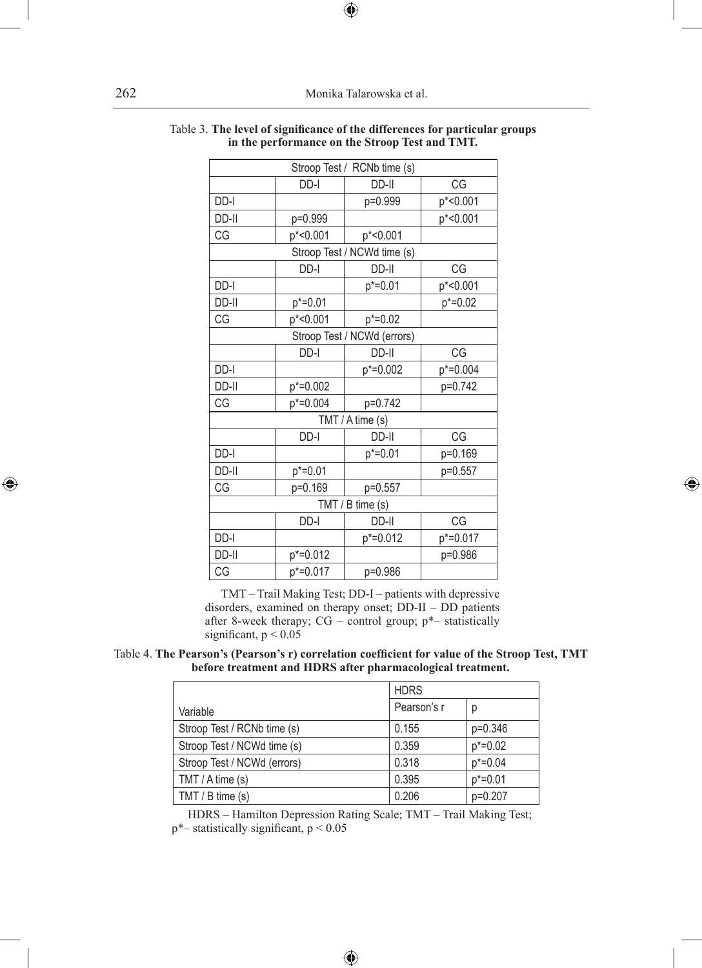| Stroop Test / RCNb time (s) |             |                             |             |  |  |
|-----------------------------|-------------|-----------------------------|-------------|--|--|
|                             | DD-I        | DD-II                       | CG          |  |  |
| DD-I                        |             | p=0.999                     | p*<0.001    |  |  |
| DD-II                       | p=0.999     |                             | p*<0.001    |  |  |
| CG                          | p*<0.001    | p*<0.001                    |             |  |  |
|                             |             | Stroop Test / NCWd time (s) |             |  |  |
|                             | DD-I        | DD-II                       | CG          |  |  |
| DD-I                        |             | $p* = 0.01$                 | p*<0.001    |  |  |
| DD-II                       | $p* = 0.01$ |                             | $p* = 0.02$ |  |  |
| CG                          | p*<0.001    | $p* = 0.02$                 |             |  |  |
|                             |             | Stroop Test / NCWd (errors) |             |  |  |
|                             | DD-I        | DD-II                       | CG          |  |  |
| DD-I                        |             | p*=0.002                    | p*=0.004    |  |  |
| DD-II                       | p*=0.002    |                             | p=0.742     |  |  |
| CG                          | p*=0.004    | p=0.742                     |             |  |  |
| TMT / A time (s)            |             |                             |             |  |  |
|                             | DD-I        | DD-II                       | CG          |  |  |
| DD-I                        |             | $p* = 0.01$                 | p=0.169     |  |  |
| DD-II                       | $p* = 0.01$ |                             | p=0.557     |  |  |
| CG                          | p=0.169     | p=0.557                     |             |  |  |
| TMT / B time (s)            |             |                             |             |  |  |
|                             | DD-I        | DD-II                       | CG          |  |  |
| DD-I                        |             | p*=0.012                    | p*=0.017    |  |  |
| DD-II                       | p*=0.012    |                             | p=0.986     |  |  |
| CG                          | p*=0.017    | p=0.986                     |             |  |  |

◈

#### Table 3. **The level of significance of the differences for particular groups in the performance on the Stroop Test and TMT.**

 $\bigoplus$ 

TMT – Trail Making Test; DD-I – patients with depressive disorders, examined on therapy onset; DD-II – DD patients after 8-week therapy;  $CG$  – control group;  $p^*$ – statistically significant,  $p < 0.05$ 

Table 4. **The Pearson's (Pearson's r) correlation coefficient for value of the Stroop Test, TMT before treatment and HDRS after pharmacological treatment.**

|                             | <b>HDRS</b> |              |
|-----------------------------|-------------|--------------|
| Variable                    | Pearson's r | р            |
| Stroop Test / RCNb time (s) | 0.155       | $p=0.346$    |
| Stroop Test / NCWd time (s) | 0.359       | $p^* = 0.02$ |
| Stroop Test / NCWd (errors) | 0.318       | $p^* = 0.04$ |
| $TMT / A$ time (s)          | 0.395       | $p* = 0.01$  |
| TMT / B time (s)            | 0.206       | p=0.207      |

HDRS – Hamilton Depression Rating Scale; TMT – Trail Making Test;  $p^*$ – statistically significant,  $p < 0.05$ 

 $\bigoplus$ 

 $\bigoplus$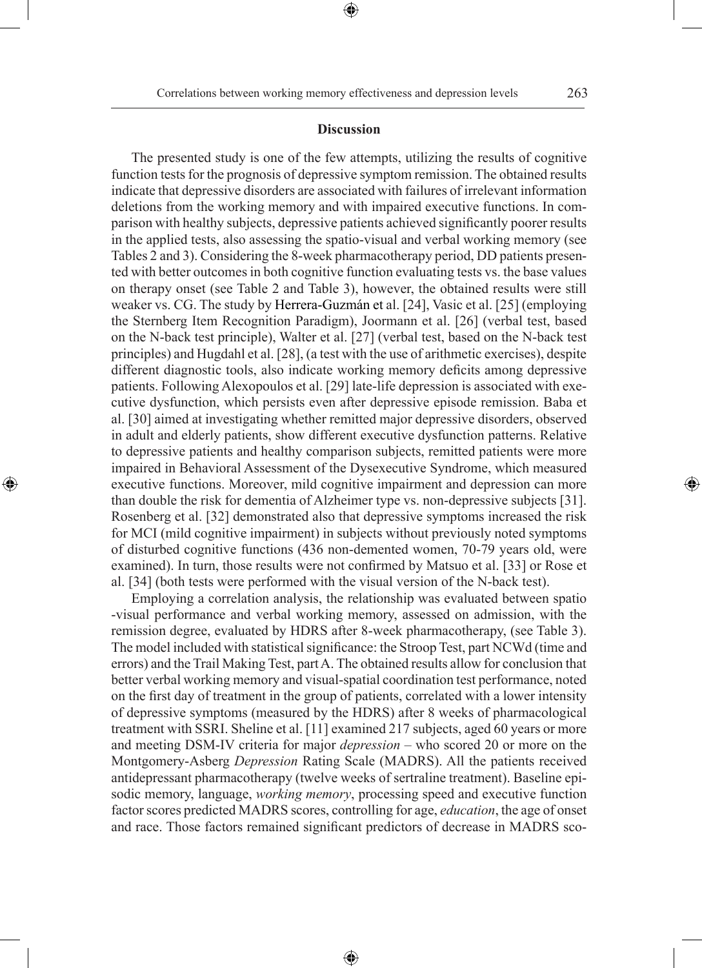◈

### **Discussion**

⊕

The presented study is one of the few attempts, utilizing the results of cognitive function tests for the prognosis of depressive symptom remission. The obtained results indicate that depressive disorders are associated with failures of irrelevant information deletions from the working memory and with impaired executive functions. In comparison with healthy subjects, depressive patients achieved significantly poorer results in the applied tests, also assessing the spatio-visual and verbal working memory (see Tables 2 and 3). Considering the 8-week pharmacotherapy period, DD patients presented with better outcomes in both cognitive function evaluating tests vs. the base values on therapy onset (see Table 2 and Table 3), however, the obtained results were still weaker vs. CG. The study by Herrera-Guzmán et al. [24], Vasic et al. [25] (employing the Sternberg Item Recognition Paradigm), Joormann et al. [26] (verbal test, based on the N-back test principle), Walter et al. [27] (verbal test, based on the N-back test principles) and Hugdahl et al. [28], (a test with the use of arithmetic exercises), despite different diagnostic tools, also indicate working memory deficits among depressive patients. Following Alexopoulos et al. [29] late-life depression is associated with executive dysfunction, which persists even after depressive episode remission. Baba et al. [30] aimed at investigating whether remitted major depressive disorders, observed in adult and elderly patients, show different executive dysfunction patterns. Relative to depressive patients and healthy comparison subjects, remitted patients were more impaired in Behavioral Assessment of the Dysexecutive Syndrome, which measured executive functions. Moreover, mild cognitive impairment and depression can more than double the risk for dementia of Alzheimer type vs. non-depressive subjects [31]. Rosenberg et al. [32] demonstrated also that depressive symptoms increased the risk for MCI (mild cognitive impairment) in subjects without previously noted symptoms of disturbed cognitive functions (436 non-demented women, 70-79 years old, were examined). In turn, those results were not confirmed by Matsuo et al. [33] or Rose et al. [34] (both tests were performed with the visual version of the N-back test).

⊕

Employing a correlation analysis, the relationship was evaluated between spatio -visual performance and verbal working memory, assessed on admission, with the remission degree, evaluated by HDRS after 8-week pharmacotherapy, (see Table 3). The model included with statistical significance: the Stroop Test, part NCWd (time and errors) and the Trail Making Test, part A. The obtained results allow for conclusion that better verbal working memory and visual-spatial coordination test performance, noted on the first day of treatment in the group of patients, correlated with a lower intensity of depressive symptoms (measured by the HDRS) after 8 weeks of pharmacological treatment with SSRI. Sheline et al. [11] examined 217 subjects, aged 60 years or more and meeting DSM-IV criteria for major *depression* – who scored 20 or more on the Montgomery-Asberg *Depression* Rating Scale (MADRS). All the patients received antidepressant pharmacotherapy (twelve weeks of sertraline treatment). Baseline episodic memory, language, *working memory*, processing speed and executive function factor scores predicted MADRS scores, controlling for age, *education*, the age of onset and race. Those factors remained significant predictors of decrease in MADRS sco-

⊕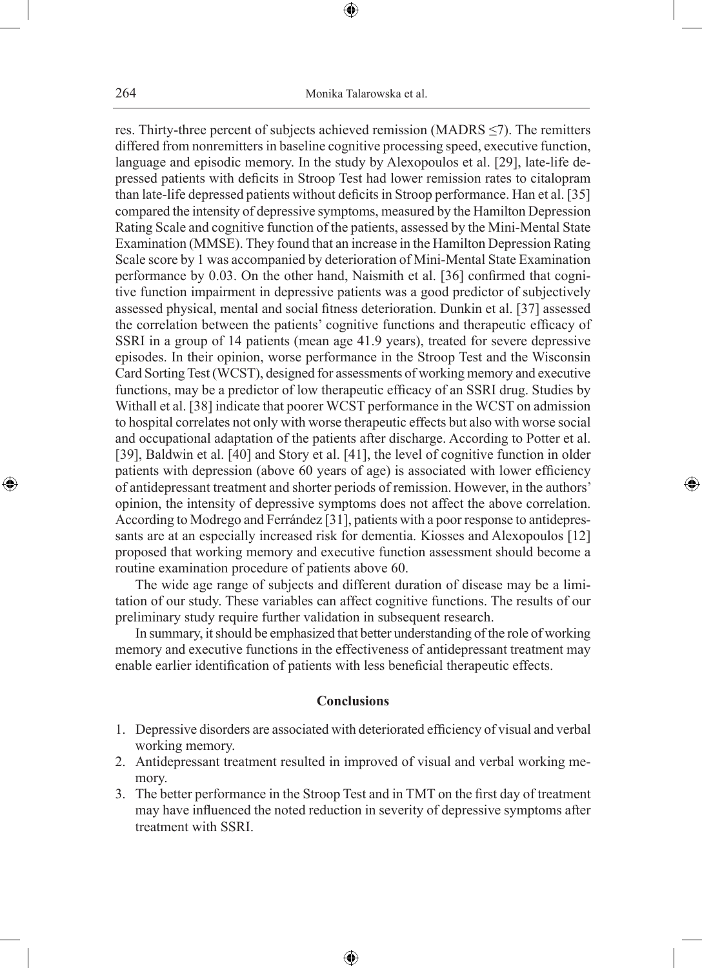res. Thirty-three percent of subjects achieved remission (MADRS ≤7). The remitters differed from nonremitters in baseline cognitive processing speed, executive function, language and episodic memory. In the study by Alexopoulos et al. [29], late-life depressed patients with deficits in Stroop Test had lower remission rates to citalopram than late-life depressed patients without deficits in Stroop performance. Han et al. [35] compared the intensity of depressive symptoms, measured by the Hamilton Depression Rating Scale and cognitive function of the patients, assessed by the Mini-Mental State Examination (MMSE). They found that an increase in the Hamilton Depression Rating Scale score by 1 was accompanied by deterioration of Mini-Mental State Examination performance by 0.03. On the other hand, Naismith et al. [36] confirmed that cognitive function impairment in depressive patients was a good predictor of subjectively assessed physical, mental and social fitness deterioration. Dunkin et al. [37] assessed the correlation between the patients' cognitive functions and therapeutic efficacy of SSRI in a group of 14 patients (mean age 41.9 years), treated for severe depressive episodes. In their opinion, worse performance in the Stroop Test and the Wisconsin Card Sorting Test (WCST), designed for assessments of working memory and executive functions, may be a predictor of low therapeutic efficacy of an SSRI drug. Studies by Withall et al. [38] indicate that poorer WCST performance in the WCST on admission to hospital correlates not only with worse therapeutic effects but also with worse social and occupational adaptation of the patients after discharge. According to Potter et al. [39], Baldwin et al. [40] and Story et al. [41], the level of cognitive function in older patients with depression (above 60 years of age) is associated with lower efficiency of antidepressant treatment and shorter periods of remission. However, in the authors' opinion, the intensity of depressive symptoms does not affect the above correlation. According to Modrego and Ferrández [31], patients with a poor response to antidepressants are at an especially increased risk for dementia. Kiosses and Alexopoulos [12] proposed that working memory and executive function assessment should become a routine examination procedure of patients above 60.

The wide age range of subjects and different duration of disease may be a limitation of our study. These variables can affect cognitive functions. The results of our preliminary study require further validation in subsequent research.

◈

In summary, it should be emphasized that better understanding of the role of working memory and executive functions in the effectiveness of antidepressant treatment may enable earlier identification of patients with less beneficial therapeutic effects.

# **Conclusions**

- 1. Depressive disorders are associated with deteriorated efficiency of visual and verbal working memory.
- 2. Antidepressant treatment resulted in improved of visual and verbal working memory.
- 3. The better performance in the Stroop Test and in TMT on the first day of treatment may have influenced the noted reduction in severity of depressive symptoms after treatment with SSRI.

⊕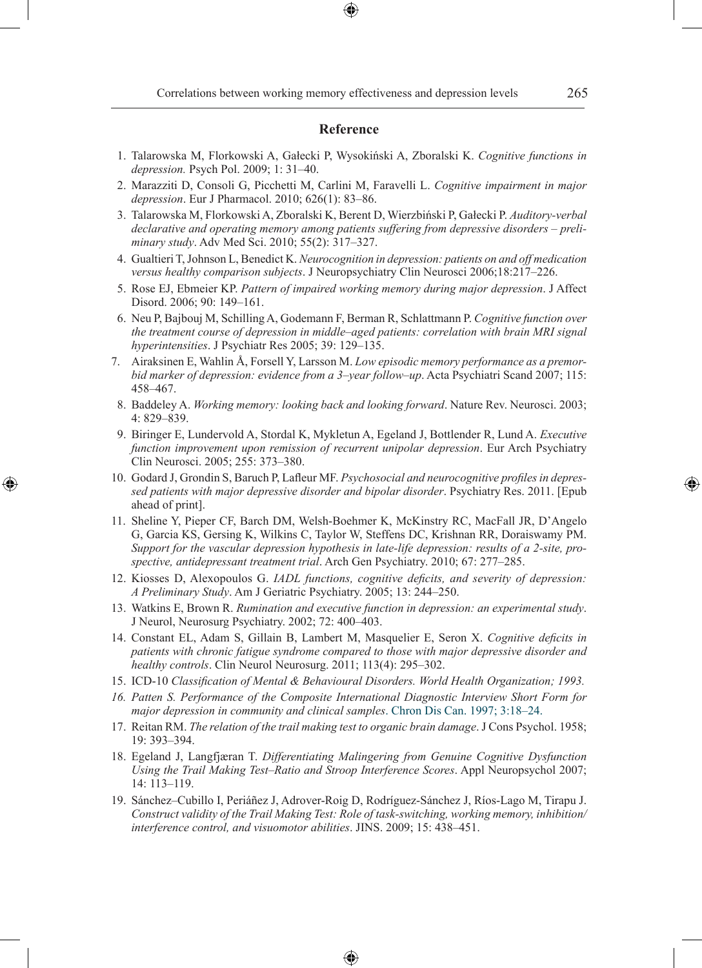### **Reference**

- 1. Talarowska M, Florkowski A, Gałecki P, Wysokiński A, Zboralski K. *Cognitive functions in depression.* Psych Pol. 2009; 1: 31–40.
- 2. Marazziti D, Consoli G, Picchetti M, Carlini M, Faravelli L. *Cognitive impairment in major depression*. Eur J Pharmacol. 2010; 626(1): 83–86.
- 3. Talarowska M, Florkowski A, Zboralski K, Berent D, Wierzbiński P, Gałecki P. *Auditory-verbal declarative and operating memory among patients suffering from depressive disorders – preliminary study*. Adv Med Sci. 2010; 55(2): 317–327.
- 4. Gualtieri T, Johnson L, Benedict K. *Neurocognition in depression: patients on and off medication versus healthy comparison subjects*. J Neuropsychiatry Clin Neurosci 2006;18:217–226.
- 5. Rose EJ, Ebmeier KP. *Pattern of impaired working memory during major depression*. J Affect Disord. 2006; 90: 149–161.
- 6. Neu P, Bajbouj M, Schilling A, Godemann F, Berman R, Schlattmann P. *Cognitive function over the treatment course of depression in middle–aged patients: correlation with brain MRI signal hyperintensities*. J Psychiatr Res 2005; 39: 129–135.
- 7. Airaksinen E, Wahlin Å, Forsell Y, Larsson M. *Low episodic memory performance as a premorbid marker of depression: evidence from a 3–year follow–up*. Acta Psychiatri Scand 2007; 115: 458–467.
- 8. Baddeley A. *Working memory: looking back and looking forward*. Nature Rev. Neurosci. 2003; 4: 829–839.
- 9. Biringer E, Lundervold A, Stordal K, Mykletun A, Egeland J, Bottlender R, Lund A. *Executive function improvement upon remission of recurrent unipolar depression*. Eur Arch Psychiatry Clin Neurosci. 2005; 255: 373–380.
- 10. Godard J, Grondin S, Baruch P, Lafleur MF. *Psychosocial and neurocognitive profiles in depressed patients with major depressive disorder and bipolar disorder*. Psychiatry Res. 2011. [Epub ahead of print].

⊕

- 11. Sheline Y, Pieper CF, Barch DM, Welsh-Boehmer K, McKinstry RC, MacFall JR, D'Angelo G, Garcia KS, Gersing K, Wilkins C, Taylor W, Steffens DC, Krishnan RR, Doraiswamy PM. *Support for the vascular depression hypothesis in late-life depression: results of a 2-site, prospective, antidepressant treatment trial*. Arch Gen Psychiatry. 2010; 67: 277–285.
- 12. Kiosses D, Alexopoulos G. *IADL functions, cognitive deficits, and severity of depression: A Preliminary Study*. Am J Geriatric Psychiatry. 2005; 13: 244–250.
- 13. Watkins E, Brown R. *Rumination and executive function in depression: an experimental study*. J Neurol, Neurosurg Psychiatry. 2002; 72: 400–403.
- 14. Constant EL, Adam S, Gillain B, Lambert M, Masquelier E, Seron X. *Cognitive deficits in patients with chronic fatigue syndrome compared to those with major depressive disorder and healthy controls*. Clin Neurol Neurosurg. 2011; 113(4): 295–302.
- 15. ICD-10 *Classification of Mental & Behavioural Disorders. World Health Organization; 1993.*
- *16. Patten S. Performance of the Composite International Diagnostic Interview Short Form for major depression in community and clinical samples*. Chron Dis Can. 1997; 3:18–24.
- 17. Reitan RM. *The relation of the trail making test to organic brain damage*. J Cons Psychol. 1958; 19: 393–394.
- 18. Egeland J, Langfjæran T. *Differentiating Malingering from Genuine Cognitive Dysfunction Using the Trail Making Test–Ratio and Stroop Interference Scores*. Appl Neuropsychol 2007; 14: 113–119.
- 19. Sánchez–Cubillo I, Periáñez J, Adrover-Roig D, Rodríguez-Sánchez J, Ríos-Lago M, Tirapu J. *Construct validity of the Trail Making Test: Role of task-switching, working memory, inhibition/ interference control, and visuomotor abilities*. JINS. 2009; 15: 438–451.

⊕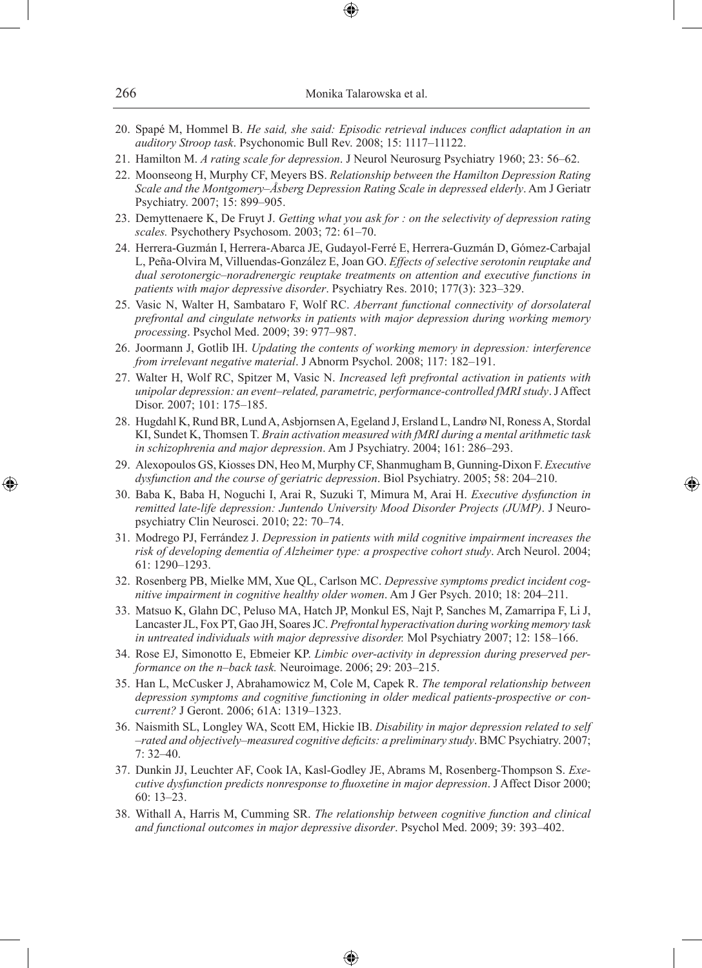| 266 | Monika Talarowska et al. |
|-----|--------------------------|
|     |                          |

- 20. Spapé M, Hommel B. *He said, she said: Episodic retrieval induces conflict adaptation in an auditory Stroop task*. Psychonomic Bull Rev. 2008; 15: 1117–11122.
- 21. Hamilton M. *A rating scale for depression*. J Neurol Neurosurg Psychiatry 1960; 23: 56–62.
- 22. Moonseong H, Murphy CF, Meyers BS. *Relationship between the Hamilton Depression Rating Scale and the Montgomery–Åsberg Depression Rating Scale in depressed elderly*. Am J Geriatr Psychiatry. 2007; 15: 899–905.
- 23. Demyttenaere K, De Fruyt J. *Getting what you ask for : on the selectivity of depression rating scales.* Psychothery Psychosom. 2003; 72: 61–70.
- 24. Herrera-Guzmán I, Herrera-Abarca JE, Gudayol-Ferré E, Herrera-Guzmán D, Gómez-Carbajal L, Peña-Olvira M, Villuendas-González E, Joan GO. *Effects of selective serotonin reuptake and dual serotonergic–noradrenergic reuptake treatments on attention and executive functions in patients with major depressive disorder*. Psychiatry Res. 2010; 177(3): 323–329.
- 25. Vasic N, Walter H, Sambataro F, Wolf RC. *Aberrant functional connectivity of dorsolateral prefrontal and cingulate networks in patients with major depression during working memory processing*. Psychol Med. 2009; 39: 977–987.
- 26. Joormann J, Gotlib IH. *Updating the contents of working memory in depression: interference from irrelevant negative material*. J Abnorm Psychol. 2008; 117: 182–191.
- 27. Walter H, Wolf RC, Spitzer M, Vasic N. *Increased left prefrontal activation in patients with unipolar depression: an event–related, parametric, performance-controlled fMRI study*. J Affect Disor. 2007; 101: 175–185.
- 28. Hugdahl K, Rund BR, Lund A, Asbjornsen A, Egeland J, Ersland L, Landrø NI, Roness A, Stordal KI, Sundet K, Thomsen T. *Brain activation measured with fMRI during a mental arithmetic task in schizophrenia and major depression*. Am J Psychiatry. 2004; 161: 286–293.
- 29. Alexopoulos GS, Kiosses DN, Heo M, Murphy CF, Shanmugham B, Gunning-Dixon F. *Executive dysfunction and the course of geriatric depression*. Biol Psychiatry. 2005; 58: 204–210.

- 30. Baba K, Baba H, Noguchi I, Arai R, Suzuki T, Mimura M, Arai H. *Executive dysfunction in remitted late-life depression: Juntendo University Mood Disorder Projects (JUMP)*. J Neuropsychiatry Clin Neurosci. 2010; 22: 70–74.
- 31. Modrego PJ, Ferrández J. *Depression in patients with mild cognitive impairment increases the risk of developing dementia of Alzheimer type: a prospective cohort study*. Arch Neurol. 2004; 61: 1290–1293.
- 32. Rosenberg PB, Mielke MM, Xue QL, Carlson MC. *Depressive symptoms predict incident cognitive impairment in cognitive healthy older women*. Am J Ger Psych. 2010; 18: 204–211.
- 33. Matsuo K, Glahn DC, Peluso MA, Hatch JP, Monkul ES, Najt P, Sanches M, Zamarripa F, Li J, Lancaster JL, Fox PT, Gao JH, Soares JC. *Prefrontal hyperactivation during working memory task in untreated individuals with major depressive disorder.* Mol Psychiatry 2007; 12: 158–166.
- 34. Rose EJ, Simonotto E, Ebmeier KP. *Limbic over-activity in depression during preserved performance on the n–back task.* Neuroimage. 2006; 29: 203–215.
- 35. Han L, McCusker J, Abrahamowicz M, Cole M, Capek R. *The temporal relationship between depression symptoms and cognitive functioning in older medical patients-prospective or concurrent?* J Geront. 2006; 61A: 1319–1323.
- 36. Naismith SL, Longley WA, Scott EM, Hickie IB. *Disability in major depression related to self –rated and objectively–measured cognitive deficits: a preliminary study*. BMC Psychiatry. 2007; 7: 32–40.
- 37. Dunkin JJ, Leuchter AF, Cook IA, Kasl-Godley JE, Abrams M, Rosenberg-Thompson S. *Executive dysfunction predicts nonresponse to fluoxetine in major depression*. J Affect Disor 2000; 60: 13–23.
- 38. Withall A, Harris M, Cumming SR. *The relationship between cognitive function and clinical and functional outcomes in major depressive disorder*. Psychol Med. 2009; 39: 393–402.

♠